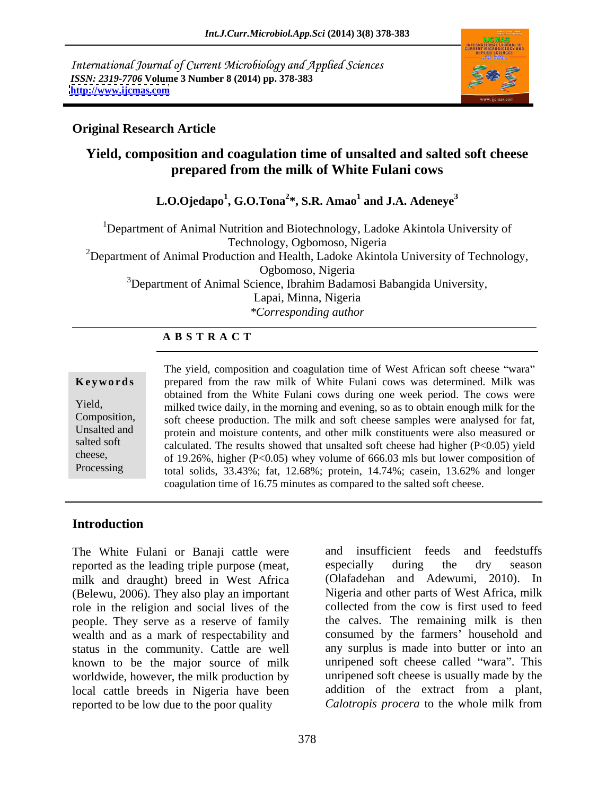International Journal of Current Microbiology and Applied Sciences *ISSN: 2319-7706* **Volume 3 Number 8 (2014) pp. 378-383 <http://www.ijcmas.com>**



## **Original Research Article**

## **Yield, composition and coagulation time of unsalted and salted soft cheese prepared from the milk of White Fulani cows**

### **L.O.Ojedapo<sup>1</sup> , G.O.Tona<sup>2</sup> \*, S.R. Amao<sup>1</sup> and J.A. Adeneye<sup>3</sup>**

<sup>1</sup>Department of Animal Nutrition and Biotechnology, Ladoke Akintola University of Technology, Ogbomoso, Nigeria <sup>2</sup>Department of Animal Production and Health, Ladoke Akintola University of Technology, Ogbomoso, Nigeria  $3$ Department of Animal Science, Ibrahim Badamosi Babangida University, Lapai, Minna, Nigeria *\*Corresponding author* 

## **A B S T R A C T**

**Keywords** prepared from the raw milk of White Fulani cows was determined. Milk was Yield, milked twice daily, in the morning and evening, so as to obtain enough milk for the Composition, soft cheese production. The milk and soft cheese samples were analysed for fat, Unsalted and protein and moisture contents, and other milk constituents were also measured or salted soft calculated. The results showed that unsalted soft cheese had higher (P<0.05) yield cheese, of 19.26%, higher  $(P<0.05)$  whey volume of 666.03 mls but lower composition of Processing total solids, 33.43%; fat, 12.68%; protein, 14.74%; casein, 13.62% and longer The yield, composition and coagulation time of West African soft cheese "wara" obtained from the White Fulani cows during one week period. The cows were coagulation time of 16.75 minutes as compared to the salted soft cheese.

## **Introduction**

The White Fulani or Banaji cattle were and insufficient feeds and feedstuffs reported as the leading triple purpose (meat, especially during the dry season milk and draught) breed in West Africa (Belewu, 2006). They also play an important role in the religion and social lives of the people. They serve as a reserve of family wealth and as a mark of respectability and status in the community. Cattle are well known to be the major source of milk worldwide, however, the milk production by local cattle breeds in Nigeria have been addition of the extract from a plant, reported to be low due to the poor quality calorropis procera to the whole milk from reported to be low due to the poor quality

and insufficient feeds and feedstuffs especially during the dry season (Olafadehan and Adewumi, 2010). In Nigeria and other parts of West Africa, milk collected from the cow is first used to feed the calves. The remaining milk is then consumed by the farmers' household and any surplus is made into butter or into an unripened soft cheese called "wara". This unripened soft cheese is usually made by the addition of the extract from a plant, *Calotropis procera* to the whole milk from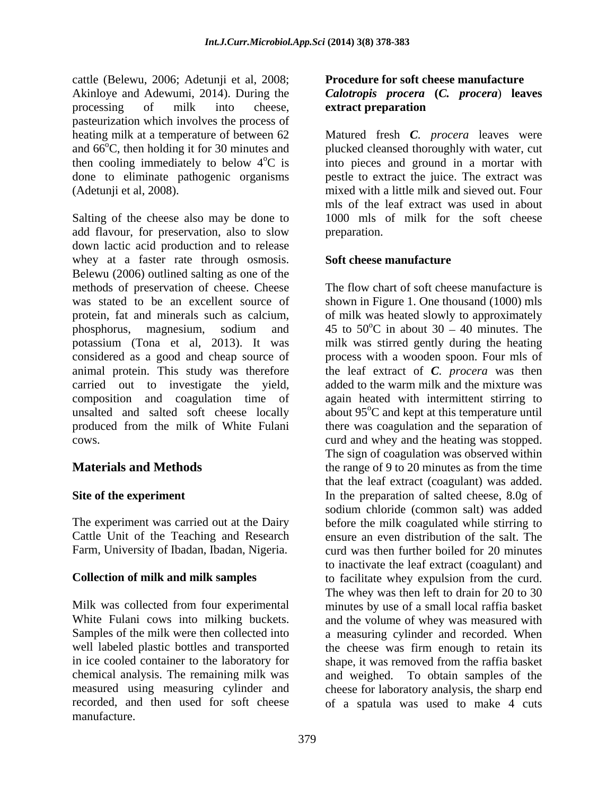cattle (Belewu, 2006; Adetunji et al, 2008; Akinloye and Adewumi, 2014). During the *Calotropis procera* **(***C. procera*) **leaves**  processing of milk into cheese, **extract preparation** pasteurization which involves the process of

Salting of the cheese also may be done to 1000 mls of milk for the soft cheese add flavour, for preservation, also to slow down lactic acid production and to release whey at a faster rate through osmosis. Soft cheese manufacture Belewu (2006) outlined salting as one of the methods of preservation of cheese. Cheese was stated to be an excellent source of shown in Figure 1. One thousand (1000) mls protein, fat and minerals such as calcium, of milk was heated slowly to approximately phosphorus, magnesium, sodium and  $45$  to  $50^{\circ}$ C in about  $30 - 40$  minutes. The potassium (Tona et al, 2013). It was milk was stirred gently during the heating considered as a good and cheap source of process with a wooden spoon. Four mls of animal protein. This study was therefore carried out to investigate the yield, added to the warm milk and the mixture was composition and coagulation time of again heated with intermittent stirring to unsalted and salted soft cheese locally about 95°C and kept at this temperature until produced from the milk of White Fulani there was coagulation and the separation of cows. curd and whey and the heating was stopped.

Farm, University of Ibadan, Ibadan, Nigeria.

chemical analysis. The remaining milk was recorded, and then used for soft cheese of a spatula was used to make 4 cutsmanufacture.

# **Procedure for soft cheese manufacture extract preparation**

heating milk at a temperature of between 62 Matured fresh *C. procera* leaves were and 66<sup>o</sup>C, then holding it for 30 minutes and plucked cleansed thoroughly with water, cut then cooling immediately to below  $4^{\circ}C$  is into pieces and ground in a mortar with done to eliminate pathogenic organisms pestle to extract the juice. The extract was (Adetunji et al, 2008). mixed with a little milk and sieved out. Four mls of the leaf extract was used in about preparation.

## **Soft cheese manufacture**

**Materials and Methods** the range of 9 to 20 minutes as from the time **Site of the experiment** The the preparation of salted cheese, 8.0g of The experiment was carried out at the Dairy before the milk coagulated while stirring to Cattle Unit of the Teaching and Research ensure an even distribution of the salt. The **Collection of milk and milk samples** to facilitate whey expulsion from the curd. Milk was collected from four experimental minutes by use of a small local raffia basket White Fulani cows into milking buckets. and the volume of whey was measured with Samples of the milk were then collected into a measuring cylinder and recorded. When well labeled plastic bottles and transported the cheese was firm enough to retain its in ice cooled container to the laboratory for shape, it was removed from the raffia basket measured using measuring cylinder and cheese for laboratory analysis, the sharp end The flow chart of soft cheese manufacture is the leaf extract of *C. procera* was then added to the warm milk and the mixture was The sign of coagulation was observed within that the leaf extract (coagulant) was added. sodium chloride (common salt) was added curd was then further boiled for20 minutes to inactivate the leaf extract (coagulant) and The whey was then left to drain for 20 to 30 and weighed. To obtain samples of the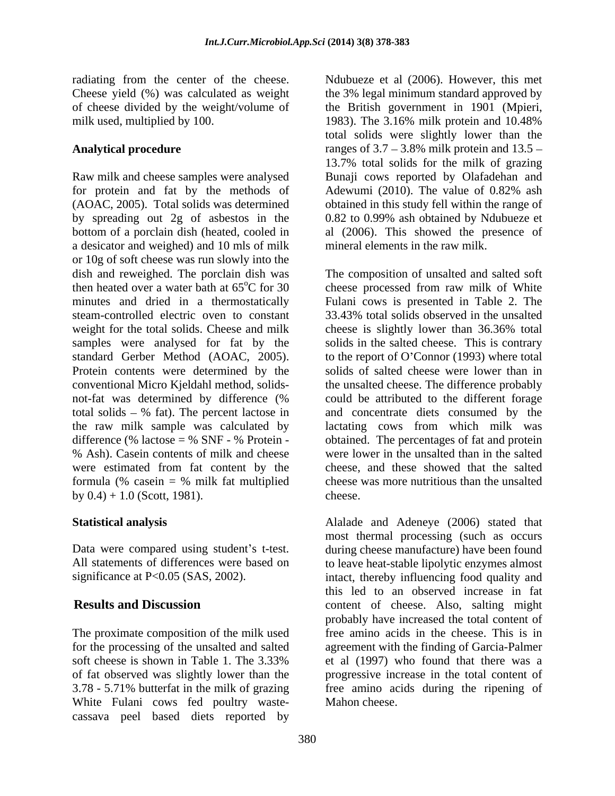milk used, multiplied by 100.

Raw milk and cheese samples were analysed Bunaji cows reported by Olafadehan and for protein and fat by the methods of Adewumi (2010). The value of 0.82% ash (AOAC, 2005). Total solids was determined obtained in this study fell within the range of by spreading out 2g of asbestos in the 0.82 to 0.99% ash obtained by Ndubueze et bottom of a porclain dish (heated, cooled in a desicator and weighed) and 10 mls of milk or 10g of soft cheese was run slowly into the dish and reweighed. The porclain dish was The composition of unsalted and salted soft then heated over a water bath at 65°C for 30 cheese processed from raw milk of White minutes and dried in a thermostatically Fulani cows is presented in Table 2. The steam-controlled electric oven to constant 33.43% total solids observed in the unsalted weight for the total solids. Cheese and milk cheese is slightly lower than 36.36% total samples were analysed for fat by the solids in the salted cheese. This is contrary standard Gerber Method (AOAC, 2005). to the report of O'Connor (1993) where total Protein contents were determined by the solids of salted cheese were lower than in conventional Micro Kjeldahl method, solids- the unsalted cheese. The difference probably not-fat was determined by difference (% total solids  $-$  % fat). The percent lactose in the raw milk sample was calculated by lactating cows from which milk was difference  $%$  lactose =  $%$  SNF -  $%$  Protein - obtained. The percentages of fat and protein % Ash). Casein contents of milk and cheese were lower in the unsalted than in the salted were estimated from fat content by the formula (% casein = % milk fat multiplied by  $0.4$ ) + 1.0 (Scott, 1981). cheese.

The proximate composition of the milk used White Fulani cows fed poultry waste cassava peel based diets reported by

radiating from the center of the cheese. Ndubueze et al (2006). However, this met Cheese yield (%) was calculated as weight the 3% legal minimum standard approved by of cheese divided by the weight/volume of the British government in 1901 (Mpieri, Analytical procedure **ranges** of 3.7 – 3.8% milk protein and 13.5 – 1983). The 3.16% milk protein and 10.48% total solids were slightly lower than the 13.7% total solids for the milk of grazing Adewumi (2010). The value of 0.82% ash al (2006). This showed the presence of mineral elements in the raw milk.

> 33.43% total solids observed in the unsalted cheese is slightly lower than 36.36% total could be attributed to the different forage and concentrate diets consumed by the cheese, and these showed that the salted cheese was more nutritious than the unsalted cheese.

**Statistical analysis**<br>
Data were compared using student's t-test.<br>
Data were compared using student's t-test.<br>
Data were compared using student's t-test.<br>
Data were compared using student's t-test.<br>
Alalade and Adeneye (2 All statements of differences were based on to leave heat-stable lipolytic enzymes almost significance at P<0.05 (SAS, 2002). intact, thereby influencing food quality and **Results and Discussion** content of cheese. Also, salting might for the processing of the unsalted and salted agreement with the finding of Garcia-Palmer soft cheese is shown in Table 1. The 3.33% et al (1997) who found that there was a of fat observed was slightly lower than the progressive increase in the total content of 3.78 - 5.71% butterfat in the milk of grazing free amino acids during the ripening of Alalade and Adeneye (2006) stated that most thermal processing (such as occurs during cheese manufacture) have been found this led to an observed increase in fat probably have increased the total content of free amino acids in the cheese. This is in et al (1997) who found that there was a Mahon cheese.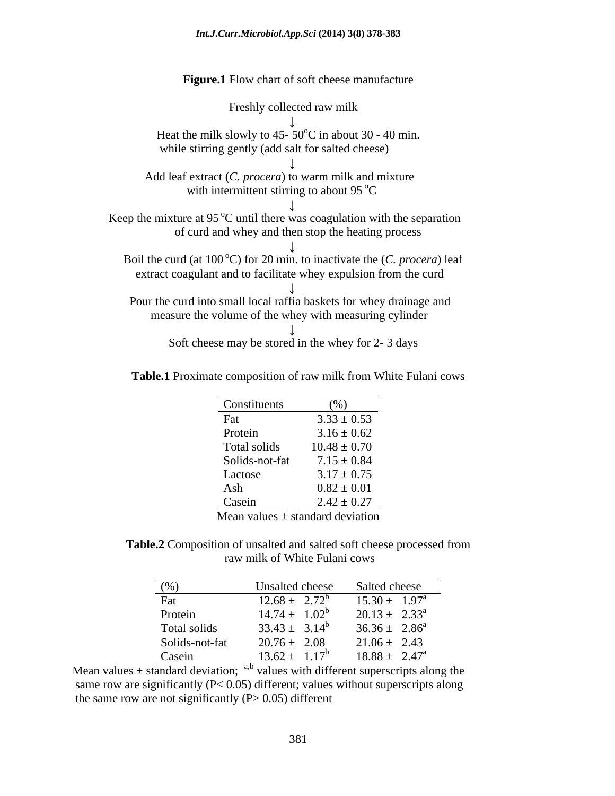## *Int.J.Curr.Microbiol.App.Sci* **(2014) 3(8) 378-383**

**Figure.1** Flow chart of soft cheese manufacture

| Freshly collected raw milk                                                                                                    |
|-------------------------------------------------------------------------------------------------------------------------------|
| Heat the milk slowly to 45- $50^{\circ}$ C in about 30 - 40 min.<br>while stirring gently (add salt for salted cheese)        |
|                                                                                                                               |
| Add leaf extract (C. procera) to warm milk and mixture<br>with intermittent stirring to about 95 $\mathrm{^{\circ}C}$         |
| Keep the mixture at 95 $\mathrm{^{\circ}C}$ until there was coagulation with the separation                                   |
| of curd and whey and then stop the heating process                                                                            |
| Boil the curd (at 100 °C) for 20 min. to inactivate the (C. procera) leaf                                                     |
| extract coagulant and to facilitate whey expulsion from the curd                                                              |
| Pour the curd into small local raffia baskets for whey drainage and<br>measure the volume of the whey with measuring cylinder |
| Soft cheese may be stored in the whey for 2-3 days                                                                            |

**Table.1** Proximate composition of raw milk from White Fulani cows

| Constituents<br>$\frac{9}{6}$<br>$3.33 \pm 0.53$ |
|--------------------------------------------------|
|                                                  |
|                                                  |
| $3.16 \pm 0.62$<br>Protein                       |
| Total solids<br>$10.48 \pm 0.70$                 |
| $7.15 \pm 0.84$<br>Solids-not-fat                |
| $3.17 \pm 0.75$<br>Lactose                       |
| $0.82 \pm 0.01$                                  |
| $2.42 \pm 0.27$                                  |
|                                                  |

Mean values  $\pm$  standard deviation

**Table.2** Composition of unsalted and salted soft cheese processed from raw milk of White Fulani cows

| (% )           | Unsalted cheese    | Salted cheese               |
|----------------|--------------------|-----------------------------|
| Fat            | $12.68 \pm 2.72^b$ | $15.30 \pm 1.97^{\text{a}}$ |
| Protein        | $14.74 \pm 1.02^b$ | $20.13 \pm 2.33^{\text{a}}$ |
| Total solids   | $33.43 \pm 3.14^b$ | $36.36 \pm 2.86^a$          |
| Solids-not-fat | $20.76 \pm 2.08$   | $21.06 \pm 2.43$            |
| Casein         | $13.62 \pm 1.17^b$ | $18.88 \pm 2.47^{\circ}$    |

Mean values  $\pm$  standard deviation; <sup>a,b</sup> values with different superscripts along the same row are significantly ( $P < 0.05$ ) different; values without superscripts along the same row are not significantly  $(P> 0.05)$  different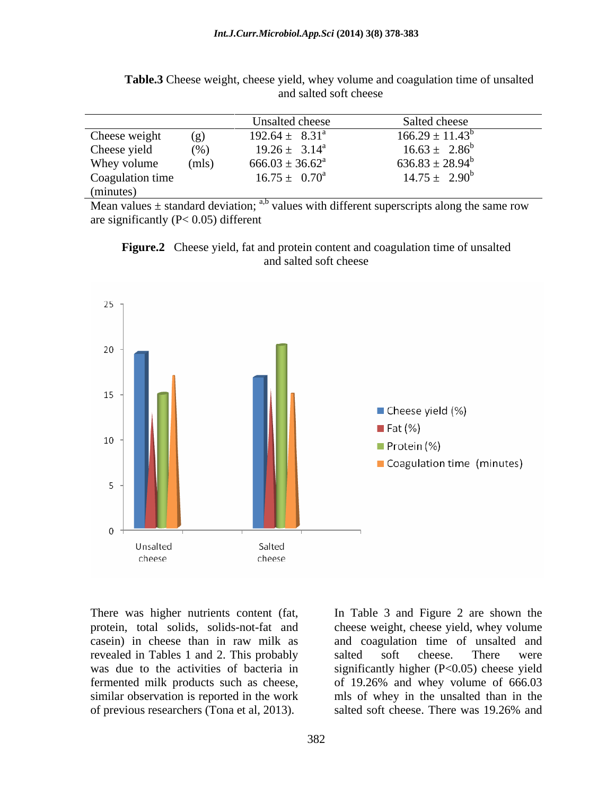|                  |       | Unsalted cheese           | Salted cheese        |
|------------------|-------|---------------------------|----------------------|
| Cheese weight    | (g)   | $192.64 \pm 8.31^{\circ}$ | $166.29 \pm 11.43^b$ |
| Cheese yield     | (%)   | $19.26 \pm 3.14^{\circ}$  | $16.63 \pm 2.86^b$   |
| Whey volume      | (mls) | $666.03 \pm 36.62^a$      | $636.83 \pm 28.94^b$ |
| Coagulation time |       | $16.75 \pm 0.70^a$        | $14.75 \pm 2.90^b$   |
| (minutes)        |       |                           |                      |

**Table.3** Cheese weight, cheese yield, whey volume and coagulation time of unsalted and salted soft cheese

Mean values  $\pm$  standard deviation; <sup>a,b</sup> values with different superscripts along the same row are significantly (P< 0.05) different





There was higher nutrients content (fat, In Table 3 and Figure 2 are shown the protein, total solids, solids-not-fat and cheese weight, cheese yield, whey volume casein) in cheese than in raw milk as and coagulation time of unsalted and revealed in Tables 1 and 2. This probably was due to the activities of bacteria in significantly higher (P<0.05) cheese yield fermented milk products such as cheese, of 19.26% and whey volume of 666.03 similar observation is reported in the work mls of whey in the unsalted than in the of previous researchers (Tona et al, 2013). Salted soft cheese. There was 19.26% and salted soft cheese. There were salted soft cheese. There was 19.26% and